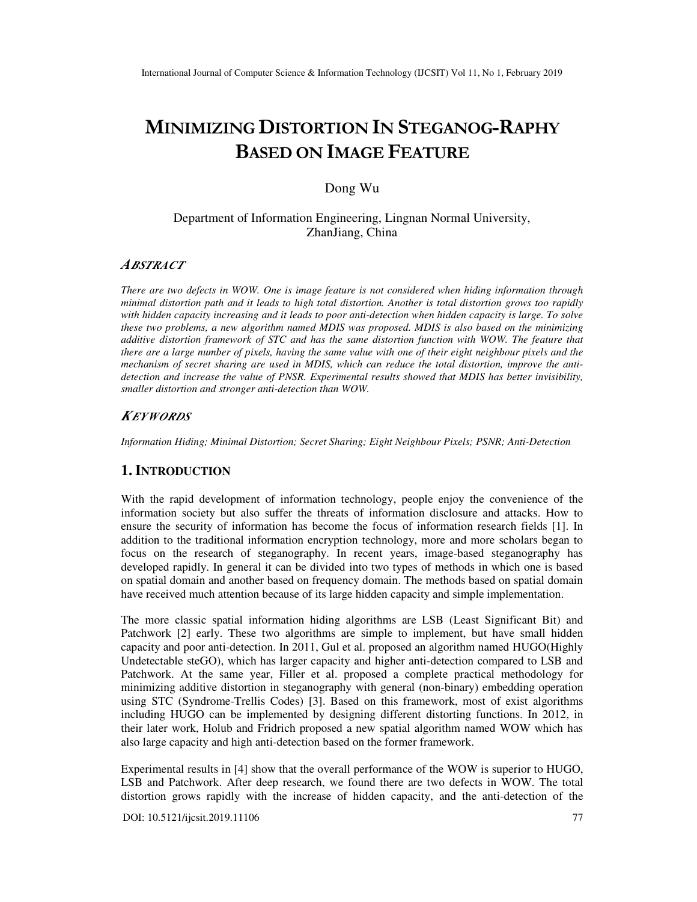# **MINIMIZING DISTORTION IN STEGANOG-RAPHY BASED ON IMAGE FEATURE**

# Dong Wu

# Department of Information Engineering, Lingnan Normal University, ZhanJiang, China

# *ABSTRACT*

*There are two defects in WOW. One is image feature is not considered when hiding information through minimal distortion path and it leads to high total distortion. Another is total distortion grows too rapidly with hidden capacity increasing and it leads to poor anti-detection when hidden capacity is large. To solve these two problems, a new algorithm named MDIS was proposed. MDIS is also based on the minimizing additive distortion framework of STC and has the same distortion function with WOW. The feature that there are a large number of pixels, having the same value with one of their eight neighbour pixels and the mechanism of secret sharing are used in MDIS, which can reduce the total distortion, improve the antidetection and increase the value of PNSR. Experimental results showed that MDIS has better invisibility, smaller distortion and stronger anti-detection than WOW.* 

### *KEYWORDS*

*Information Hiding; Minimal Distortion; Secret Sharing; Eight Neighbour Pixels; PSNR; Anti-Detection* 

# **1. INTRODUCTION**

With the rapid development of information technology, people enjoy the convenience of the information society but also suffer the threats of information disclosure and attacks. How to ensure the security of information has become the focus of information research fields [1]. In addition to the traditional information encryption technology, more and more scholars began to focus on the research of steganography. In recent years, image-based steganography has developed rapidly. In general it can be divided into two types of methods in which one is based on spatial domain and another based on frequency domain. The methods based on spatial domain have received much attention because of its large hidden capacity and simple implementation.

The more classic spatial information hiding algorithms are LSB (Least Significant Bit) and Patchwork [2] early. These two algorithms are simple to implement, but have small hidden capacity and poor anti-detection. In 2011, Gul et al. proposed an algorithm named HUGO(Highly Undetectable steGO), which has larger capacity and higher anti-detection compared to LSB and Patchwork. At the same year, Filler et al. proposed a complete practical methodology for minimizing additive distortion in steganography with general (non-binary) embedding operation using STC (Syndrome-Trellis Codes) [3]. Based on this framework, most of exist algorithms including HUGO can be implemented by designing different distorting functions. In 2012, in their later work, Holub and Fridrich proposed a new spatial algorithm named WOW which has also large capacity and high anti-detection based on the former framework.

Experimental results in [4] show that the overall performance of the WOW is superior to HUGO, LSB and Patchwork. After deep research, we found there are two defects in WOW. The total distortion grows rapidly with the increase of hidden capacity, and the anti-detection of the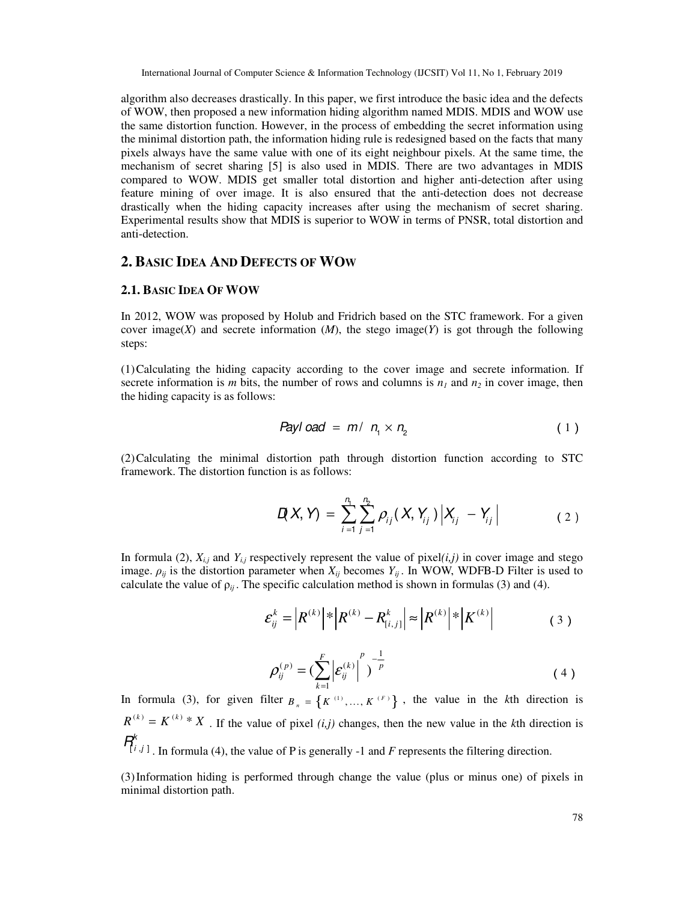algorithm also decreases drastically. In this paper, we first introduce the basic idea and the defects of WOW, then proposed a new information hiding algorithm named MDIS. MDIS and WOW use the same distortion function. However, in the process of embedding the secret information using the minimal distortion path, the information hiding rule is redesigned based on the facts that many pixels always have the same value with one of its eight neighbour pixels. At the same time, the mechanism of secret sharing [5] is also used in MDIS. There are two advantages in MDIS compared to WOW. MDIS get smaller total distortion and higher anti-detection after using feature mining of over image. It is also ensured that the anti-detection does not decrease drastically when the hiding capacity increases after using the mechanism of secret sharing. Experimental results show that MDIS is superior to WOW in terms of PNSR, total distortion and anti-detection.

# **2. BASIC IDEA AND DEFECTS OF WOW**

#### **2.1. BASIC IDEA OF WOW**

In 2012, WOW was proposed by Holub and Fridrich based on the STC framework. For a given cover image(*X*) and secrete information (*M*), the stego image(*Y*) is got through the following steps:

(1)Calculating the hiding capacity according to the cover image and secrete information. If secrete information is *m* bits, the number of rows and columns is  $n<sub>l</sub>$  and  $n<sub>2</sub>$  in cover image, then the hiding capacity is as follows:

$$
Payload = m / n_1 \times n_2 \tag{1}
$$

(2)Calculating the minimal distortion path through distortion function according to STC framework. The distortion function is as follows:

$$
D(X, Y) = \sum_{i=1}^{n_1} \sum_{j=1}^{n_2} \rho_{ij}(X, Y_{ij}) |X_{ij} - Y_{ij}|
$$
 (2)

In formula (2),  $X_{i,j}$  and  $Y_{i,j}$  respectively represent the value of pixel(*i,j*) in cover image and stego image.  $\rho_{ij}$  is the distortion parameter when  $X_{ij}$  becomes  $Y_{ij}$ . In WOW, WDFB-D Filter is used to calculate the value of  $\rho_{ij}$ . The specific calculation method is shown in formulas (3) and (4).

$$
\varepsilon_{ij}^k = |R^{(k)}| * |R^{(k)} - R_{[i,j]}^k| \approx |R^{(k)}| * |K^{(k)}|
$$
 (3)

$$
\rho_{ij}^{(p)} = \left(\sum_{k=1}^{F} \left| \mathcal{E}_{ij}^{(k)} \right|^p \right)^{-\frac{1}{p}}
$$
\n(4)

In formula (3), for given filter  ${B_n} = \{K^{(1)},..., K^{(F)}\}$ , the value in the *k*th direction is  $R^{(k)} = K^{(k)} * X$ . If the value of pixel *(i,j)* changes, then the new value in the *k*th direction is  $\mathcal{F}_{i,j,1}^{k}$ . In formula (4), the value of P is generally -1 and *F* represents the filtering direction.

(3)Information hiding is performed through change the value (plus or minus one) of pixels in minimal distortion path.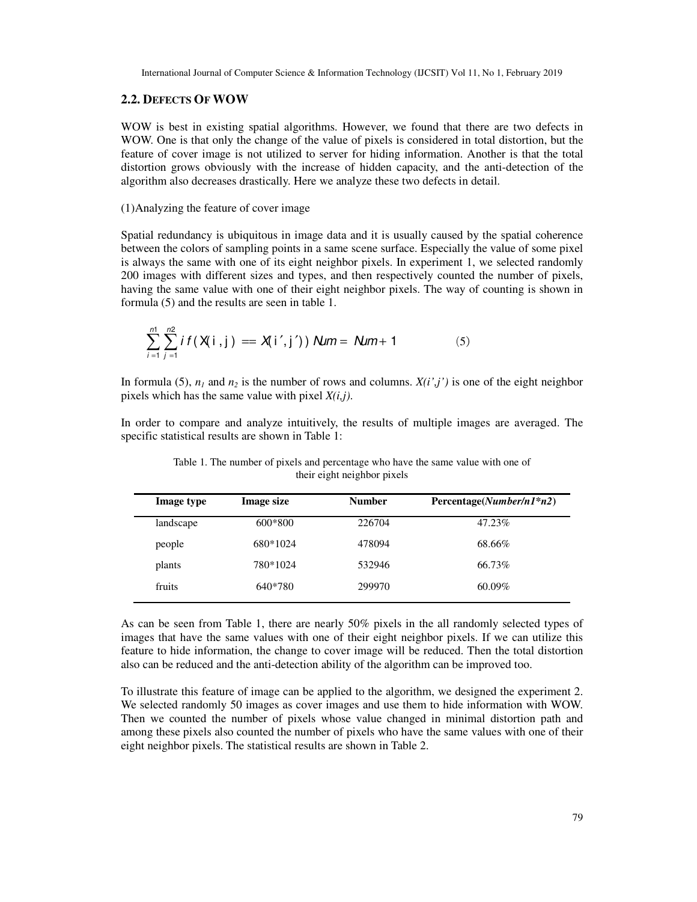## **2.2. DEFECTS OF WOW**

WOW is best in existing spatial algorithms. However, we found that there are two defects in WOW. One is that only the change of the value of pixels is considered in total distortion, but the feature of cover image is not utilized to server for hiding information. Another is that the total distortion grows obviously with the increase of hidden capacity, and the anti-detection of the algorithm also decreases drastically. Here we analyze these two defects in detail.

# (1)Analyzing the feature of cover image

Spatial redundancy is ubiquitous in image data and it is usually caused by the spatial coherence between the colors of sampling points in a same scene surface. Especially the value of some pixel is always the same with one of its eight neighbor pixels. In experiment 1, we selected randomly 200 images with different sizes and types, and then respectively counted the number of pixels, having the same value with one of their eight neighbor pixels. The way of counting is shown in formula (5) and the results are seen in table 1.

$$
\sum_{i=1}^{m} \sum_{j=1}^{n2} i f(X[i,j]) = X[i',j']) \text{ Num} = \text{ Nmm} + 1 \tag{5}
$$

In formula (5),  $n_1$  and  $n_2$  is the number of rows and columns.  $X(i',j')$  is one of the eight neighbor pixels which has the same value with pixel *X(i,j)*.

In order to compare and analyze intuitively, the results of multiple images are averaged. The specific statistical results are shown in Table 1:

| Image type | <b>Image size</b> | <b>Number</b> | $Percentage(Number/n1*n2)$ |
|------------|-------------------|---------------|----------------------------|
| landscape  | 600*800           | 226704        | 47.23%                     |
| people     | 680*1024          | 478094        | 68.66%                     |
| plants     | 780*1024          | 532946        | 66.73%                     |
| fruits     | 640*780           | 299970        | $60.09\%$                  |

Table 1. The number of pixels and percentage who have the same value with one of their eight neighbor pixels

As can be seen from Table 1, there are nearly 50% pixels in the all randomly selected types of images that have the same values with one of their eight neighbor pixels. If we can utilize this feature to hide information, the change to cover image will be reduced. Then the total distortion also can be reduced and the anti-detection ability of the algorithm can be improved too.

To illustrate this feature of image can be applied to the algorithm, we designed the experiment 2. We selected randomly 50 images as cover images and use them to hide information with WOW. Then we counted the number of pixels whose value changed in minimal distortion path and among these pixels also counted the number of pixels who have the same values with one of their eight neighbor pixels. The statistical results are shown in Table 2.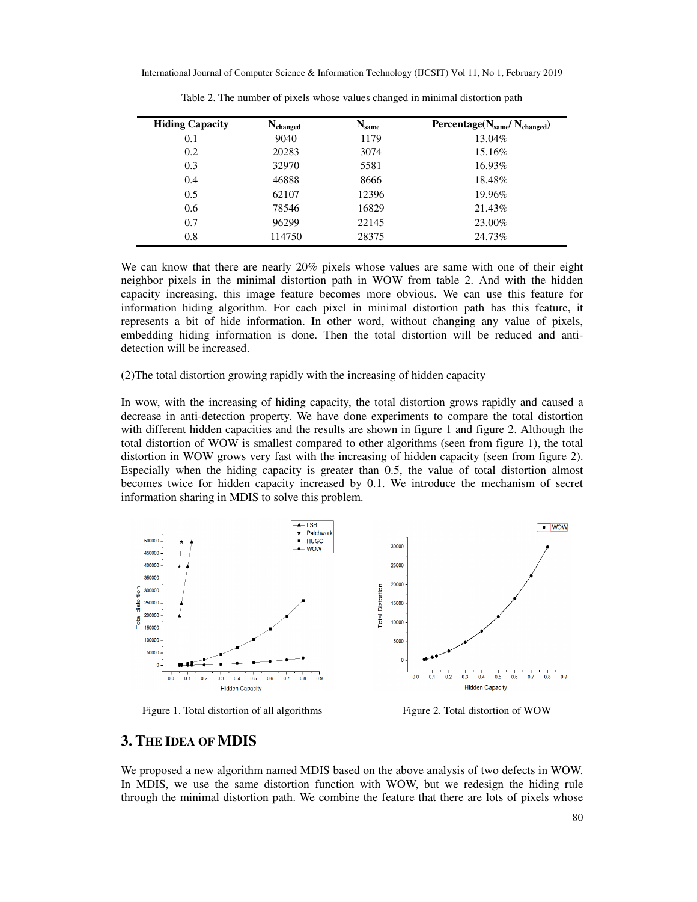| <b>Hiding Capacity</b> | $N_{\rm changed}$ | $N_{\text{same}}$ | Percentage(N <sub>same</sub> /N <sub>changed</sub> ) |
|------------------------|-------------------|-------------------|------------------------------------------------------|
| 0.1                    | 9040              | 1179              | 13.04%                                               |
| 0.2                    | 20283             | 3074              | 15.16%                                               |
| 0.3                    | 32970             | 5581              | 16.93%                                               |
| 0.4                    | 46888             | 8666              | 18.48%                                               |
| 0.5                    | 62107             | 12396             | 19.96%                                               |
| 0.6                    | 78546             | 16829             | 21.43%                                               |
| 0.7                    | 96299             | 22145             | 23.00%                                               |
| 0.8                    | 114750            | 28375             | 24.73%                                               |

Table 2. The number of pixels whose values changed in minimal distortion path

We can know that there are nearly 20% pixels whose values are same with one of their eight neighbor pixels in the minimal distortion path in WOW from table 2. And with the hidden capacity increasing, this image feature becomes more obvious. We can use this feature for information hiding algorithm. For each pixel in minimal distortion path has this feature, it represents a bit of hide information. In other word, without changing any value of pixels, embedding hiding information is done. Then the total distortion will be reduced and antidetection will be increased.

(2)The total distortion growing rapidly with the increasing of hidden capacity

In wow, with the increasing of hiding capacity, the total distortion grows rapidly and caused a decrease in anti-detection property. We have done experiments to compare the total distortion with different hidden capacities and the results are shown in figure 1 and figure 2. Although the total distortion of WOW is smallest compared to other algorithms (seen from figure 1), the total distortion in WOW grows very fast with the increasing of hidden capacity (seen from figure 2). Especially when the hiding capacity is greater than 0.5, the value of total distortion almost becomes twice for hidden capacity increased by 0.1. We introduce the mechanism of secret information sharing in MDIS to solve this problem.



Figure 1. Total distortion of all algorithms Figure 2. Total distortion of WOW

# **3. THE IDEA OF MDIS**

We proposed a new algorithm named MDIS based on the above analysis of two defects in WOW. In MDIS, we use the same distortion function with WOW, but we redesign the hiding rule through the minimal distortion path. We combine the feature that there are lots of pixels whose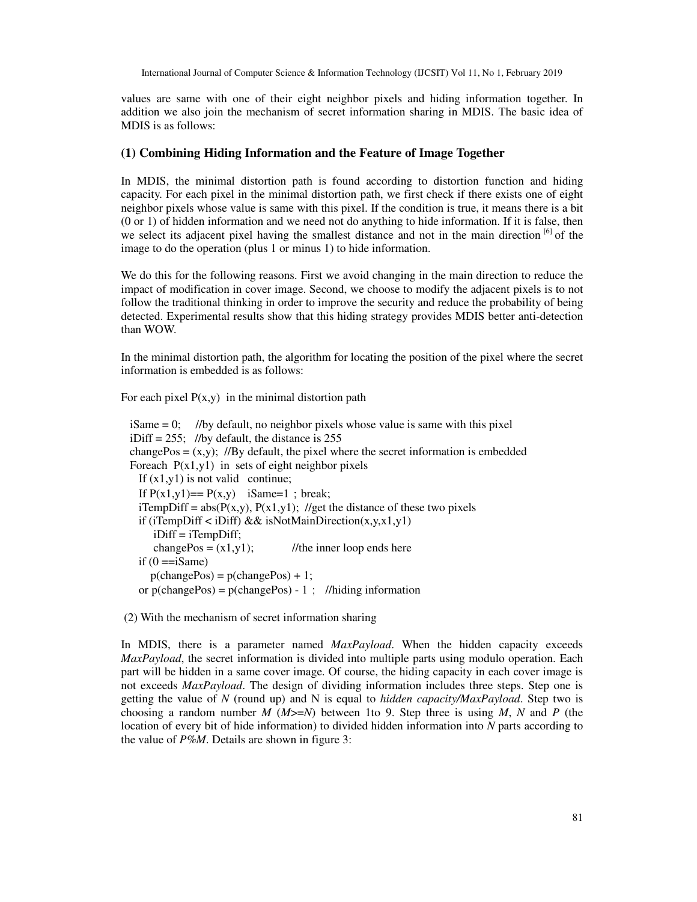values are same with one of their eight neighbor pixels and hiding information together. In addition we also join the mechanism of secret information sharing in MDIS. The basic idea of MDIS is as follows:

## **(1) Combining Hiding Information and the Feature of Image Together**

In MDIS, the minimal distortion path is found according to distortion function and hiding capacity. For each pixel in the minimal distortion path, we first check if there exists one of eight neighbor pixels whose value is same with this pixel. If the condition is true, it means there is a bit (0 or 1) of hidden information and we need not do anything to hide information. If it is false, then we select its adjacent pixel having the smallest distance and not in the main direction  $\frac{16}{1}$  of the image to do the operation (plus 1 or minus 1) to hide information.

We do this for the following reasons. First we avoid changing in the main direction to reduce the impact of modification in cover image. Second, we choose to modify the adjacent pixels is to not follow the traditional thinking in order to improve the security and reduce the probability of being detected. Experimental results show that this hiding strategy provides MDIS better anti-detection than WOW.

In the minimal distortion path, the algorithm for locating the position of the pixel where the secret information is embedded is as follows:

For each pixel  $P(x,y)$  in the minimal distortion path

```
iSame = 0; //by default, no neighbor pixels whose value is same with this pixel
iDiff = 255; //by default, the distance is 255changePos = (x,y); //By default, the pixel where the secret information is embedded
Foreach P(x1,y1) in sets of eight neighbor pixels
 If (x1,y1) is not valid continue;
 If P(x1,y1) == P(x,y) iSame=1; break;
 iTempDiff = abs(P(x,y), P(x1,y1); //get the distance of these two pixels
 if (iTempDiff \langle iDiff) && isNotMainDirection(x,y,x1,y1)
      iDiff = iTempDiff; 
     changePos = (x1,y1); //the inner loop ends here
 if (0 == iSame)p(chargePos) = p(chargePos) + 1;or p(\text{changePos}) = p(\text{changePos}) - 1; //hiding information
```
(2) With the mechanism of secret information sharing

In MDIS, there is a parameter named *MaxPayload*. When the hidden capacity exceeds *MaxPayload*, the secret information is divided into multiple parts using modulo operation. Each part will be hidden in a same cover image. Of course, the hiding capacity in each cover image is not exceeds *MaxPayload*. The design of dividing information includes three steps. Step one is getting the value of *N* (round up) and N is equal to *hidden capacity/MaxPayload*. Step two is choosing a random number  $M$  ( $M > = N$ ) between 1to 9. Step three is using  $M$ ,  $N$  and  $P$  (the location of every bit of hide information) to divided hidden information into *N* parts according to the value of *P%M*. Details are shown in figure 3: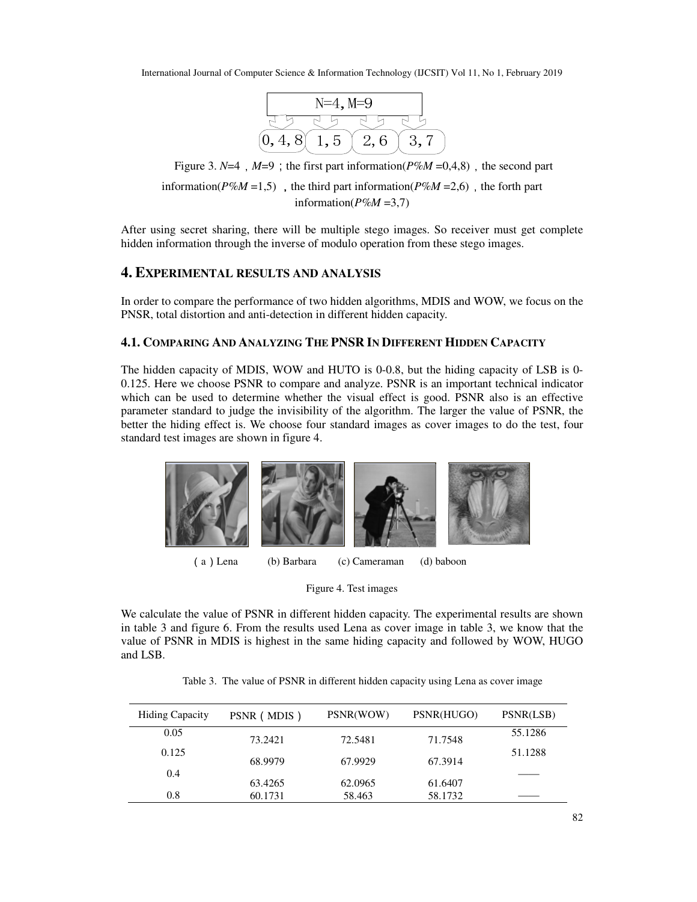| $N=4, M=9$ |     |     |  |  |  |
|------------|-----|-----|--|--|--|
|            |     |     |  |  |  |
|            | . 5 | 2,6 |  |  |  |

Figure 3.  $N=4$ ,  $M=9$ ; the first part information( $P\%M = 0,4,8$ ), the second part

information( $P\%M = 1,5$ ), the third part information( $P\%M = 2,6$ ), the forth part information( $P\%M = 3,7$ )

After using secret sharing, there will be multiple stego images. So receiver must get complete hidden information through the inverse of modulo operation from these stego images.

# **4. EXPERIMENTAL RESULTS AND ANALYSIS**

In order to compare the performance of two hidden algorithms, MDIS and WOW, we focus on the PNSR, total distortion and anti-detection in different hidden capacity.

# **4.1. COMPARING AND ANALYZING THE PNSR IN DIFFERENT HIDDEN CAPACITY**

The hidden capacity of MDIS, WOW and HUTO is 0-0.8, but the hiding capacity of LSB is 0- 0.125. Here we choose PSNR to compare and analyze. PSNR is an important technical indicator which can be used to determine whether the visual effect is good. PSNR also is an effective parameter standard to judge the invisibility of the algorithm. The larger the value of PSNR, the better the hiding effect is. We choose four standard images as cover images to do the test, four standard test images are shown in figure 4.



Figure 4. Test images

We calculate the value of PSNR in different hidden capacity. The experimental results are shown in table 3 and figure 6. From the results used Lena as cover image in table 3, we know that the value of PSNR in MDIS is highest in the same hiding capacity and followed by WOW, HUGO and LSB.

Table 3. The value of PSNR in different hidden capacity using Lena as cover image

| <b>Hiding Capacity</b> | PSNR (MDIS) | PSNR(WOW) | PSNR(HUGO) | PSNR(LSB) |
|------------------------|-------------|-----------|------------|-----------|
| 0.05                   | 73.2421     | 72.5481   | 71.7548    | 55.1286   |
| 0.125                  | 68.9979     | 67.9929   | 67.3914    | 51.1288   |
| 0.4                    | 63.4265     | 62.0965   | 61.6407    |           |
| 0.8                    | 60.1731     | 58.463    | 58.1732    |           |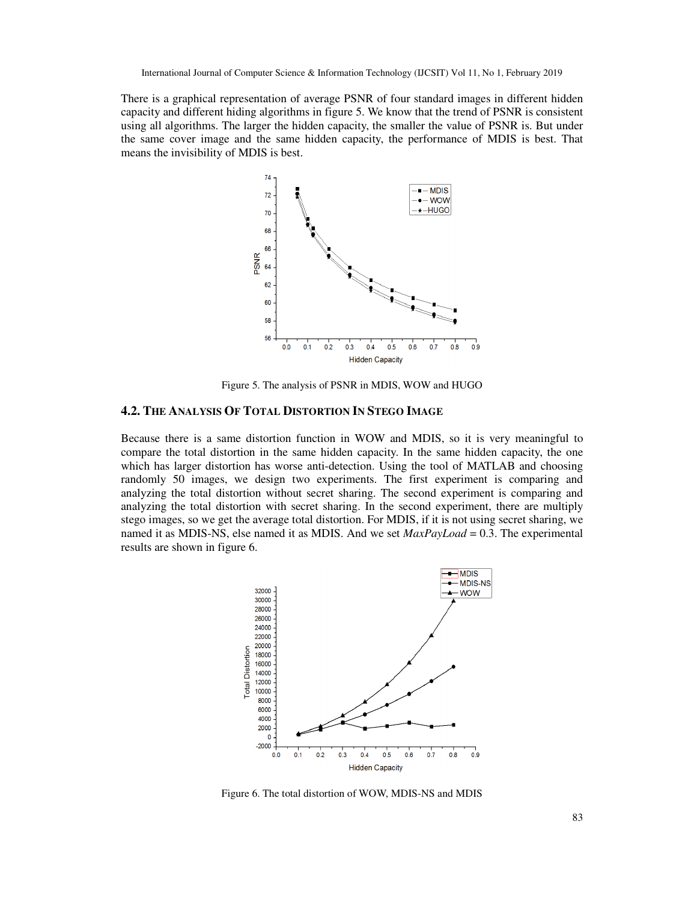There is a graphical representation of average PSNR of four standard images in different hidden capacity and different hiding algorithms in figure 5. We know that the trend of PSNR is consistent using all algorithms. The larger the hidden capacity, the smaller the value of PSNR is. But under the same cover image and the same hidden capacity, the performance of MDIS is best. That means the invisibility of MDIS is best.



Figure 5. The analysis of PSNR in MDIS, WOW and HUGO

## **4.2. THE ANALYSIS OF TOTAL DISTORTION IN STEGO IMAGE**

Because there is a same distortion function in WOW and MDIS, so it is very meaningful to compare the total distortion in the same hidden capacity. In the same hidden capacity, the one which has larger distortion has worse anti-detection. Using the tool of MATLAB and choosing randomly 50 images, we design two experiments. The first experiment is comparing and analyzing the total distortion without secret sharing. The second experiment is comparing and analyzing the total distortion with secret sharing. In the second experiment, there are multiply stego images, so we get the average total distortion. For MDIS, if it is not using secret sharing, we named it as MDIS-NS, else named it as MDIS. And we set *MaxPayLoad* = 0.3. The experimental results are shown in figure 6.



Figure 6. The total distortion of WOW, MDIS-NS and MDIS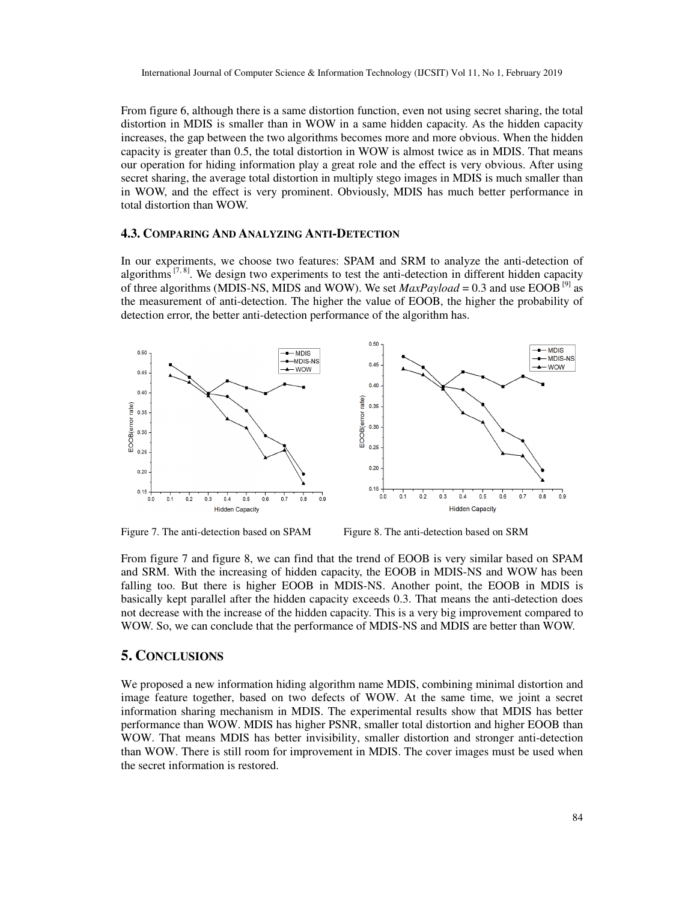From figure 6, although there is a same distortion function, even not using secret sharing, the total distortion in MDIS is smaller than in WOW in a same hidden capacity. As the hidden capacity increases, the gap between the two algorithms becomes more and more obvious. When the hidden capacity is greater than 0.5, the total distortion in WOW is almost twice as in MDIS. That means our operation for hiding information play a great role and the effect is very obvious. After using secret sharing, the average total distortion in multiply stego images in MDIS is much smaller than in WOW, and the effect is very prominent. Obviously, MDIS has much better performance in total distortion than WOW.

#### **4.3. COMPARING AND ANALYZING ANTI-DETECTION**

In our experiments, we choose two features: SPAM and SRM to analyze the anti-detection of algorithms  $[7, 8]$ . We design two experiments to test the anti-detection in different hidden capacity of three algorithms (MDIS-NS, MIDS and WOW). We set  $MaxPayload = 0.3$  and use EOOB<sup>[9]</sup> as the measurement of anti-detection. The higher the value of EOOB, the higher the probability of detection error, the better anti-detection performance of the algorithm has.



Figure 7. The anti-detection based on SPAM Figure 8. The anti-detection based on SRM

From figure 7 and figure 8, we can find that the trend of EOOB is very similar based on SPAM and SRM. With the increasing of hidden capacity, the EOOB in MDIS-NS and WOW has been falling too. But there is higher EOOB in MDIS-NS. Another point, the EOOB in MDIS is basically kept parallel after the hidden capacity exceeds 0.3. That means the anti-detection does not decrease with the increase of the hidden capacity. This is a very big improvement compared to WOW. So, we can conclude that the performance of MDIS-NS and MDIS are better than WOW.

# **5. CONCLUSIONS**

We proposed a new information hiding algorithm name MDIS, combining minimal distortion and image feature together, based on two defects of WOW. At the same time, we joint a secret information sharing mechanism in MDIS. The experimental results show that MDIS has better performance than WOW. MDIS has higher PSNR, smaller total distortion and higher EOOB than WOW. That means MDIS has better invisibility, smaller distortion and stronger anti-detection than WOW. There is still room for improvement in MDIS. The cover images must be used when the secret information is restored.